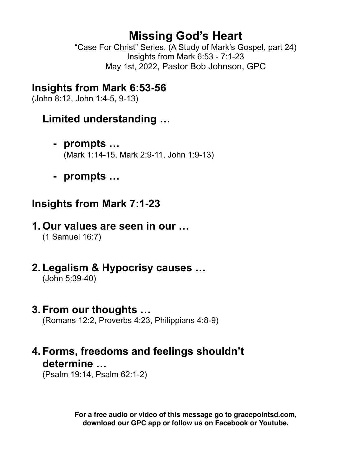# **Missing God's Heart**

"Case For Christ" Series, (A Study of Mark's Gospel, part 24) Insights from Mark 6:53 - 7:1-23 May 1st, 2022, Pastor Bob Johnson, GPC

### **Insights from Mark 6:53-56**

(John 8:12, John 1:4-5, 9-13)

### **Limited understanding …**

- **- prompts …** (Mark 1:14-15, Mark 2:9-11, John 1:9-13)
- **- prompts …**

### **Insights from Mark 7:1-23**

## **1. Our values are seen in our …**

(1 Samuel 16:7)

- **2. Legalism & Hypocrisy causes …** 
	- (John 5:39-40)

### **3. From our thoughts …**

(Romans 12:2, Proverbs 4:23, Philippians 4:8-9)

## **4. Forms, freedoms and feelings shouldn't determine …**

(Psalm 19:14, Psalm 62:1-2)

**For a free audio or video of this message go to gracepointsd.com, download our GPC app or follow us on Facebook or Youtube.**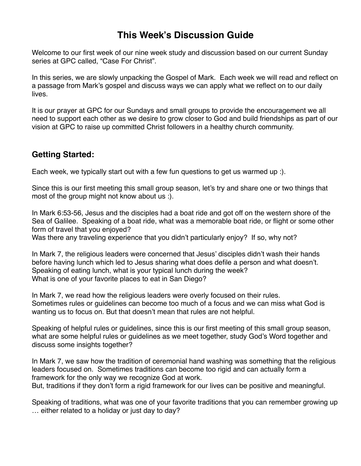#### **This Week's Discussion Guide**

Welcome to our first week of our nine week study and discussion based on our current Sunday series at GPC called, "Case For Christ".

In this series, we are slowly unpacking the Gospel of Mark. Each week we will read and reflect on a passage from Mark's gospel and discuss ways we can apply what we reflect on to our daily lives.

It is our prayer at GPC for our Sundays and small groups to provide the encouragement we all need to support each other as we desire to grow closer to God and build friendships as part of our vision at GPC to raise up committed Christ followers in a healthy church community.

#### **Getting Started:**

Each week, we typically start out with a few fun questions to get us warmed up :).

Since this is our first meeting this small group season, let's try and share one or two things that most of the group might not know about us :).

In Mark 6:53-56, Jesus and the disciples had a boat ride and got off on the western shore of the Sea of Galilee. Speaking of a boat ride, what was a memorable boat ride, or flight or some other form of travel that you enjoyed?

Was there any traveling experience that you didn't particularly enjoy? If so, why not?

In Mark 7, the religious leaders were concerned that Jesus' disciples didn't wash their hands before having lunch which led to Jesus sharing what does defile a person and what doesn't. Speaking of eating lunch, what is your typical lunch during the week? What is one of your favorite places to eat in San Diego?

In Mark 7, we read how the religious leaders were overly focused on their rules. Sometimes rules or guidelines can become too much of a focus and we can miss what God is wanting us to focus on. But that doesn't mean that rules are not helpful.

Speaking of helpful rules or guidelines, since this is our first meeting of this small group season, what are some helpful rules or guidelines as we meet together, study God's Word together and discuss some insights together?

In Mark 7, we saw how the tradition of ceremonial hand washing was something that the religious leaders focused on. Sometimes traditions can become too rigid and can actually form a framework for the only way we recognize God at work. But, traditions if they don't form a rigid framework for our lives can be positive and meaningful.

Speaking of traditions, what was one of your favorite traditions that you can remember growing up … either related to a holiday or just day to day?